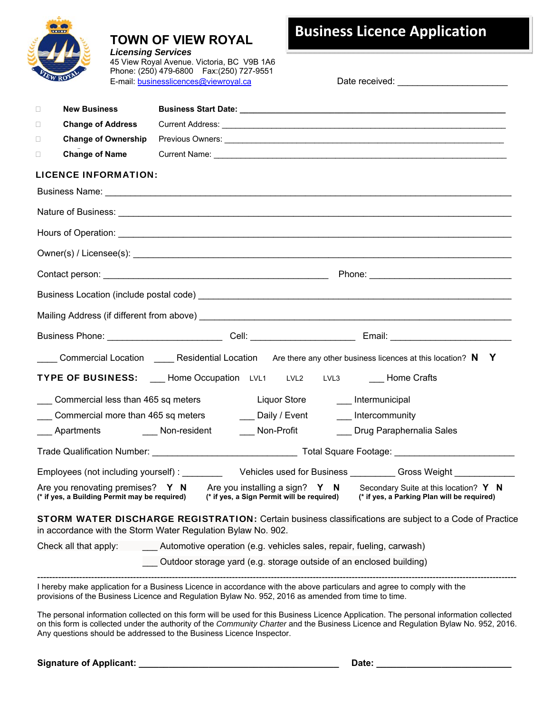

# **TOWN OF VIEW ROYAL**

*Licensing Services* 45 View Royal Avenue. Victoria, BC V9B 1A6 Phone: (250) 479-6800 Fax:(250) 727-9551 E-mail: **businesslicences@viewroyal.ca** Date received: **Date received:**  $\blacksquare$ 

# **Business Licence Application**

| <b>New Business</b><br>$\Box$                                                                                                                                                 |  |                     |                                                                      |                                                                                      |
|-------------------------------------------------------------------------------------------------------------------------------------------------------------------------------|--|---------------------|----------------------------------------------------------------------|--------------------------------------------------------------------------------------|
| <b>Change of Address</b><br>$\Box$                                                                                                                                            |  |                     |                                                                      |                                                                                      |
| <b>Change of Ownership</b><br>$\Box$                                                                                                                                          |  |                     |                                                                      |                                                                                      |
| <b>Change of Name</b><br>$\Box$                                                                                                                                               |  |                     |                                                                      |                                                                                      |
| <b>LICENCE INFORMATION:</b>                                                                                                                                                   |  |                     |                                                                      |                                                                                      |
|                                                                                                                                                                               |  |                     |                                                                      |                                                                                      |
|                                                                                                                                                                               |  |                     |                                                                      |                                                                                      |
|                                                                                                                                                                               |  |                     |                                                                      |                                                                                      |
|                                                                                                                                                                               |  |                     |                                                                      |                                                                                      |
|                                                                                                                                                                               |  |                     |                                                                      |                                                                                      |
|                                                                                                                                                                               |  |                     |                                                                      |                                                                                      |
|                                                                                                                                                                               |  |                     |                                                                      |                                                                                      |
| Business Phone: _____________________________Cell: _____________________________ Email: ______________________                                                                |  |                     |                                                                      |                                                                                      |
| ____ Commercial Location $\qquad \qquad$ Residential Location Are there any other business licences at this location? N Y                                                     |  |                     |                                                                      |                                                                                      |
| TYPE OF BUSINESS: ___ Home Occupation LVL1 LVL2                                                                                                                               |  |                     | LVL3 Home Crafts                                                     |                                                                                      |
| Commercial less than 465 sq meters                                                                                                                                            |  | <b>Liquor Store</b> | ___ Intermunicipal                                                   |                                                                                      |
| Commercial more than 465 sq meters                                                                                                                                            |  | ___ Daily / Event   | Intercommunity                                                       |                                                                                      |
| Apartments Non-resident                                                                                                                                                       |  | Non-Profit          | ___ Drug Paraphernalia Sales                                         |                                                                                      |
|                                                                                                                                                                               |  |                     |                                                                      |                                                                                      |
| Employees (not including yourself): The Vehicles used for Business Cross Weight                                                                                               |  |                     |                                                                      |                                                                                      |
| Are you renovating premises? $Y \t N$ Are you installing a sign? $Y \t N$<br>(* if yes, a Building Permit may be required) (* if yes, a Sign Permit will be required)         |  |                     |                                                                      | Secondary Suite at this location? Y N<br>(* if yes, a Parking Plan will be required) |
| <b>STORM WATER DISCHARGE REGISTRATION:</b> Certain business classifications are subject to a Code of Practice<br>in accordance with the Storm Water Regulation Bylaw No. 902. |  |                     |                                                                      |                                                                                      |
| Check all that apply:                                                                                                                                                         |  |                     | Automotive operation (e.g. vehicles sales, repair, fueling, carwash) |                                                                                      |
|                                                                                                                                                                               |  |                     | Outdoor storage yard (e.g. storage outside of an enclosed building)  |                                                                                      |

I hereby make application for a Business Licence in accordance with the above particulars and agree to comply with the provisions of the Business Licence and Regulation Bylaw No. 952, 2016 as amended from time to time.

The personal information collected on this form will be used for this Business Licence Application. The personal information collected on this form is collected under the authority of the *Community Charter* and the Business Licence and Regulation Bylaw No. 952, 2016. Any questions should be addressed to the Business Licence Inspector.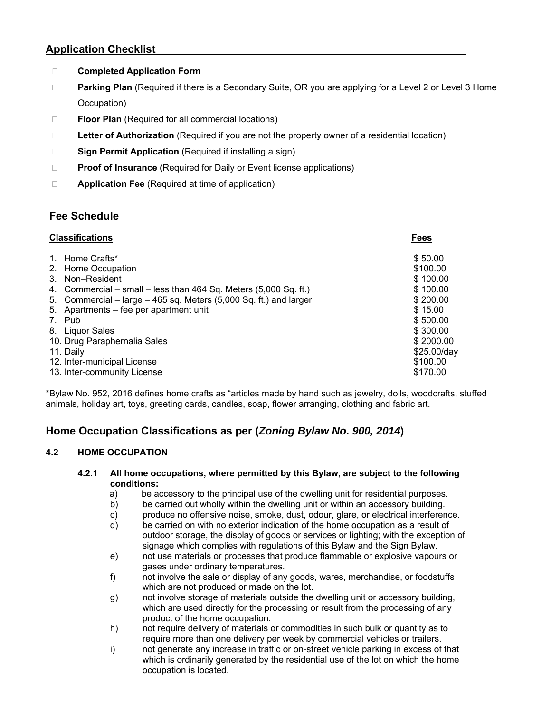## **Application Checklist**

- **Completed Application Form**
- **Parking Plan** (Required if there is a Secondary Suite, OR you are applying for a Level 2 or Level 3 Home Occupation)
- **Floor Plan** (Required for all commercial locations)
- □ **Letter of Authorization** (Required if you are not the property owner of a residential location)
- □ **Sign Permit Application** (Required if installing a sign)
- **Proof of Insurance** (Required for Daily or Event license applications)
- **Application Fee** (Required at time of application)

# **Fee Schedule**

| <b>Classifications</b>                                            | Fees        |
|-------------------------------------------------------------------|-------------|
| 1. Home Crafts*                                                   | \$50.00     |
| 2. Home Occupation                                                | \$100.00    |
| 3. Non-Resident                                                   | \$100.00    |
| 4. Commercial – small – less than 464 Sq. Meters (5,000 Sq. ft.)  | \$100.00    |
| 5. Commercial – large – 465 sq. Meters (5,000 Sq. ft.) and larger | \$200.00    |
| 5. Apartments – fee per apartment unit                            | \$15.00     |
| 7. Pub                                                            | \$500.00    |
| 8. Liquor Sales                                                   | \$300.00    |
| 10. Drug Paraphernalia Sales                                      | \$2000.00   |
| 11. Daily                                                         | \$25.00/day |
| 12. Inter-municipal License                                       | \$100.00    |
| 13. Inter-community License                                       | \$170.00    |

\*Bylaw No. 952, 2016 defines home crafts as "articles made by hand such as jewelry, dolls, woodcrafts, stuffed animals, holiday art, toys, greeting cards, candles, soap, flower arranging, clothing and fabric art.

# **Home Occupation Classifications as per (***Zoning Bylaw No. 900, 2014***)**

### **4.2 HOME OCCUPATION**

- **4.2.1 All home occupations, where permitted by this Bylaw, are subject to the following conditions:** 
	- a) be accessory to the principal use of the dwelling unit for residential purposes.
	- b) be carried out wholly within the dwelling unit or within an accessory building.
	- c) produce no offensive noise, smoke, dust, odour, glare, or electrical interference.
	- d) be carried on with no exterior indication of the home occupation as a result of outdoor storage, the display of goods or services or lighting; with the exception of signage which complies with regulations of this Bylaw and the Sign Bylaw.
	- e) not use materials or processes that produce flammable or explosive vapours or gases under ordinary temperatures.
	- f) not involve the sale or display of any goods, wares, merchandise, or foodstuffs which are not produced or made on the lot.
	- g) not involve storage of materials outside the dwelling unit or accessory building, which are used directly for the processing or result from the processing of any product of the home occupation.
	- h) not require delivery of materials or commodities in such bulk or quantity as to require more than one delivery per week by commercial vehicles or trailers.
	- i) not generate any increase in traffic or on-street vehicle parking in excess of that which is ordinarily generated by the residential use of the lot on which the home occupation is located.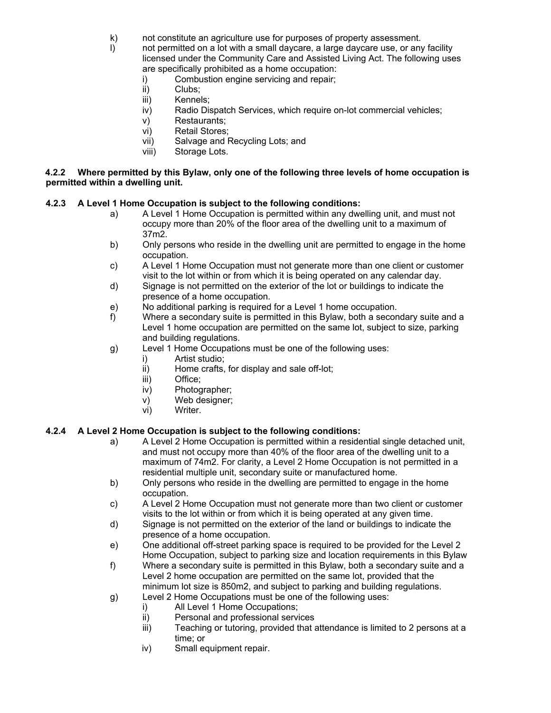k) not constitute an agriculture use for purposes of property assessment.

l) not permitted on a lot with a small daycare, a large daycare use, or any facility licensed under the Community Care and Assisted Living Act. The following uses are specifically prohibited as a home occupation:

- i) Combustion engine servicing and repair;<br>ii) Clubs;
- Clubs;
- iii) Kennels;
- iv) Radio Dispatch Services, which require on-lot commercial vehicles;
- v) Restaurants;
- vi) Retail Stores;
- vii) Salvage and Recycling Lots; and
- viii) Storage Lots.

#### **4.2.2 Where permitted by this Bylaw, only one of the following three levels of home occupation is permitted within a dwelling unit.**

### **4.2.3 A Level 1 Home Occupation is subject to the following conditions:**

- a) A Level 1 Home Occupation is permitted within any dwelling unit, and must not occupy more than 20% of the floor area of the dwelling unit to a maximum of 37m2.
- b) Only persons who reside in the dwelling unit are permitted to engage in the home occupation.
- c) A Level 1 Home Occupation must not generate more than one client or customer visit to the lot within or from which it is being operated on any calendar day.
- d) Signage is not permitted on the exterior of the lot or buildings to indicate the presence of a home occupation.
- e) No additional parking is required for a Level 1 home occupation.
- f) Where a secondary suite is permitted in this Bylaw, both a secondary suite and a Level 1 home occupation are permitted on the same lot, subject to size, parking and building regulations.
- g) Level 1 Home Occupations must be one of the following uses:
	- i) Artist studio;
	- ii) Home crafts, for display and sale off-lot;
	- iii) Office;
	- iv) Photographer;
	- v) Web designer;
	- vi) Writer.

### **4.2.4 A Level 2 Home Occupation is subject to the following conditions:**

- a) A Level 2 Home Occupation is permitted within a residential single detached unit, and must not occupy more than 40% of the floor area of the dwelling unit to a maximum of 74m2. For clarity, a Level 2 Home Occupation is not permitted in a residential multiple unit, secondary suite or manufactured home.
- b) Only persons who reside in the dwelling are permitted to engage in the home occupation.
- c) A Level 2 Home Occupation must not generate more than two client or customer visits to the lot within or from which it is being operated at any given time.
- d) Signage is not permitted on the exterior of the land or buildings to indicate the presence of a home occupation.
- e) One additional off-street parking space is required to be provided for the Level 2 Home Occupation, subject to parking size and location requirements in this Bylaw
- f) Where a secondary suite is permitted in this Bylaw, both a secondary suite and a Level 2 home occupation are permitted on the same lot, provided that the minimum lot size is 850m2, and subject to parking and building regulations.
- g) Level 2 Home Occupations must be one of the following uses:
	-
	- i) All Level 1 Home Occupations;<br>ii) Personal and professional servi Personal and professional services
	- iii) Teaching or tutoring, provided that attendance is limited to 2 persons at a time; or
	- iv) Small equipment repair.